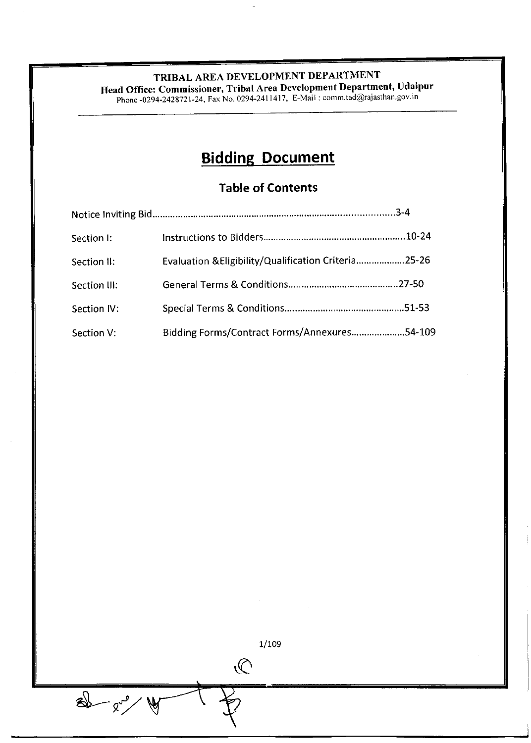Head Office: Commissioner, Tribal Area Development Department, Udaipur

Phone -0294-2428721-24, Fax No. 0294-2411417, E-Mail : comm tad@rajasthan gov in

# **Bidding Document**

# **Table of Contents**

| Section I:   |                                                      |  |
|--------------|------------------------------------------------------|--|
| Section II:  | Evaluation & Eligibility/Qualification Criteria25-26 |  |
| Section III: |                                                      |  |
| Section IV:  |                                                      |  |
| Section V:   | Bidding Forms/Contract Forms/Annexures54-109         |  |

 $1/109$ 

 $\mathcal{Q}$ 

 $8 - 8 - 8$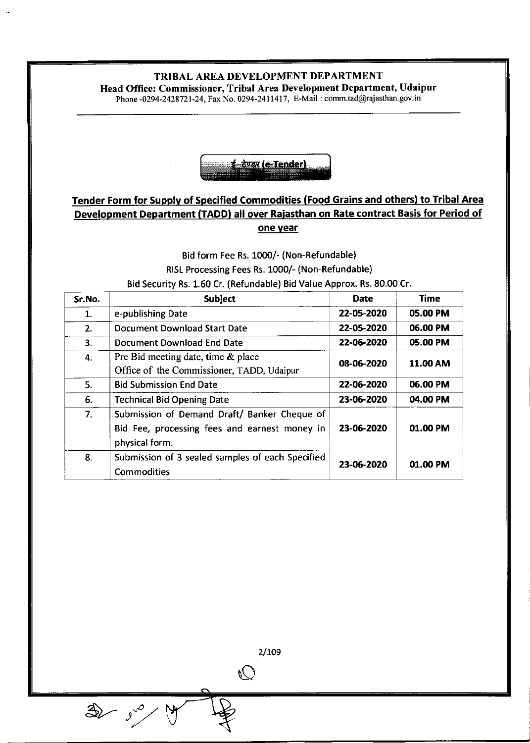Head Office: Commissioner, Tribal Area Development Department, Udaipur

Phone -0294-2428721-24, Fax No. 0294-2411417, E-Mail : comm.tad@rajasthan.gov.in



# Tender Form for Supply of Specified Commodities (Food Grains and others) to Tribal Area Development Department (TADD) all over Raiasthan on Rate contract Basis for Period of one year

# Bid form Fee Rs. 1000/- (Non-Refundable) RISL Processing Fees Rs. 1000/- (Non-Refundable) Bid Security Rs. 1.60 Cr. (Refundable) Bid Value Approx. Rs.80.00 Cr.

| Sr.No. | Subject                                          | <b>Date</b>                   | <b>Time</b> |
|--------|--------------------------------------------------|-------------------------------|-------------|
| 1.     | e-publishing Date                                | 22-05-2020                    | 05.00 PM    |
| 2.     | Document Download Start Date                     | 22-05-2020                    | 06.00 PM    |
| З.     | Document Download End Date                       | 22-06-2020                    | 05.00 PM    |
| 4.     | Pre Bid meeting date, time & place               | <b>11.00 AM</b><br>08-06-2020 |             |
|        | Office of the Commissioner, TADD, Udaipur        |                               |             |
| 5.     | <b>Bid Submission End Date</b>                   | 22-06-2020                    | 06.00 PM    |
| 6.     | <b>Technical Bid Opening Date</b>                | 23-06-2020                    | 04.00 PM    |
| 7.     | Submission of Demand Draft/ Banker Cheque of     |                               |             |
|        | Bid Fee, processing fees and earnest money in    | 23-06-2020                    | 01.00 PM    |
|        | physical form.                                   |                               |             |
| 8.     | Submission of 3 sealed samples of each Specified | 23-06-2020                    | 01.00 PM    |
|        | Commodities                                      |                               |             |

2/109

 $\mathbb{C}$ 

 $\bigoplus$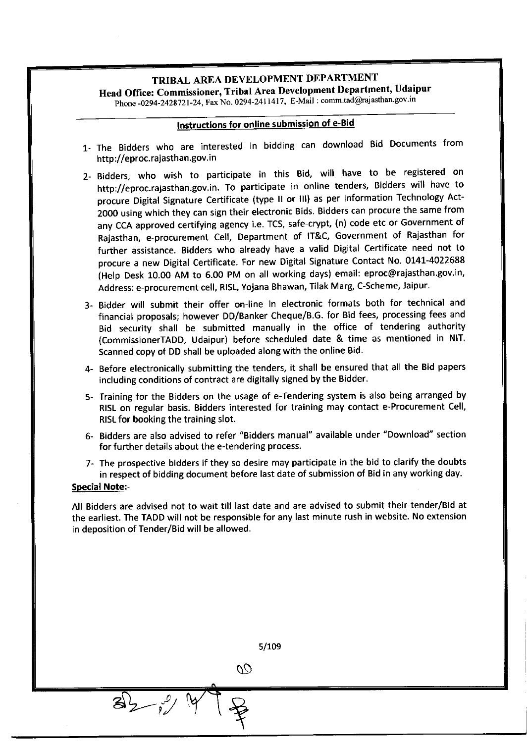Head Office: Commissioner, Tribal Area Development Department, Udaipur

Phone-0294-2428721-24, Fax No. 0294-2411417, E-Mail: comm.tad@rajasthan.gov.in

# lnstructions for online submission of e-Bid

- 1- The Bidders who are interested in bidding can download Bid Documents from http://eproc.rajasthan.gov.in
- 2- Bidders, who wish to participate in this Bid, will have to be registered on http://eproc.rajasthan.gov.in. To participate in online tenders, Bidders will have to procure Digital Signature certificate (type ll or lll) as per Information Technology Act-2000 using which they can sign their electronic Bids. Bidders can procure the same from any CCA approved certifying agency i.e. TCS, safe-crypt, (n) code etc or Government of Rajasthan, e-procurement cell, Department of lT&c, Government of Rajasthan for further assistance. Bidders who already have a valid Digital certificate need not to procure a new Digital Certificate. For new Digital Signature Contact No. 0141-4022688 (Help Desk 10.00 AM to 6.00 PM on all working days) email: eproc@rajasthan.gov.in, Address: e-procurement cell, RISL, Yojana Bhawan, Tilak Marg, C-Scheme, Jaipur.
- 3- Bidder will submit their offer on-line in electronic formats both for technical and financial proposals; however DD/Banker cheque/B.G. for Bid fees, processing fees and Bid security shall be submitted manually in the office of tendering authority (CommissionerTADD, Udaipur) before scheduled date & time as mentioned in NlT. Scanned copy of DD shall be uploaded along with the online Bid.
- 4- Before electronically submitting the tenders, it shall be ensured that all the Bid papers including conditions of contract are digitally signed by the Bidder.
- 5- Training for the Bidders on the usage of e-Tendering system is also being arranged by RISL on regular basis. Bidders interested for training may contact e-Procurement Cell, RISL for booking the training slot.
- 6- Bidders are also advised to refer "Bidders manual" available under "Download" section for further details about the e-tendering process.
- 7- The prospective bidders if they so desire may participate in the bid to clarify the doubts in respect of bidding document before last date of submission of Bid in any working day.

#### Special Note:-

All Bidders are advised not to wait till last date and are advised to submit their tender/Bid at the earliest. The TADD will not be responsible for any last minute rush in website. No extension in deposition of Tender/Bid will be allowed.

|                    | 5/109 |
|--------------------|-------|
| $\overline{C}$     |       |
| ୍ଧ<br>$\mathbf{z}$ |       |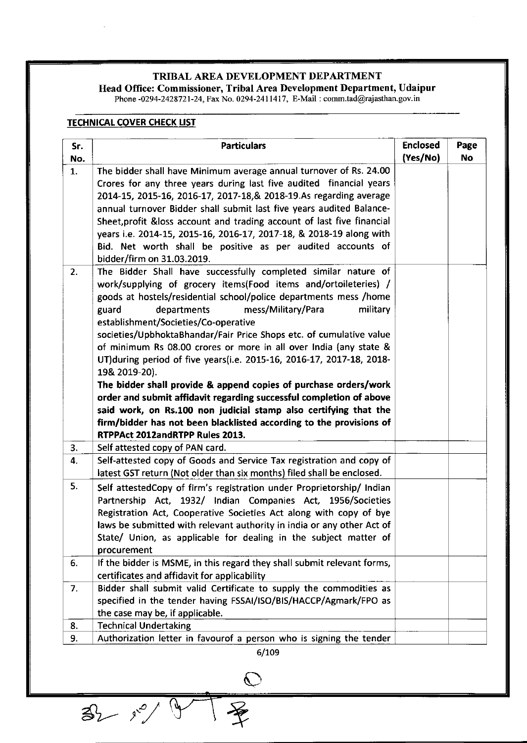# TRIBAL AREA DEVELOPMENT DEPARTMENT Head Office: Commissioner, Tribal Area Development Department, Udaipur

Phone -0294-2428721-24, Fax No. 0294-2411417, E-Mail : comm.tad@rajasthan.gov.i

# **TECHNICAL COVER CHECK LIST**

| Sr.<br>No. | <b>Particulars</b>                                                                                                                                                                                                                                                                                                                                                                                                                                                                                                                                                                                                                                                                                                                                                                                                                                                      | <b>Enclosed</b><br>(Yes/No) | Page<br>No |
|------------|-------------------------------------------------------------------------------------------------------------------------------------------------------------------------------------------------------------------------------------------------------------------------------------------------------------------------------------------------------------------------------------------------------------------------------------------------------------------------------------------------------------------------------------------------------------------------------------------------------------------------------------------------------------------------------------------------------------------------------------------------------------------------------------------------------------------------------------------------------------------------|-----------------------------|------------|
| 1.         | The bidder shall have Minimum average annual turnover of Rs. 24.00<br>Crores for any three years during last five audited financial years<br>2014-15, 2015-16, 2016-17, 2017-18, & 2018-19. As regarding average<br>annual turnover Bidder shall submit last five years audited Balance-<br>Sheet, profit & loss account and trading account of last five financial<br>years i.e. 2014-15, 2015-16, 2016-17, 2017-18, & 2018-19 along with<br>Bid. Net worth shall be positive as per audited accounts of<br>bidder/firm on 31.03.2019.                                                                                                                                                                                                                                                                                                                                 |                             |            |
| 2.         | The Bidder Shall have successfully completed similar nature of<br>work/supplying of grocery items(Food items and/ortoileteries) /<br>goods at hostels/residential school/police departments mess /home<br>departments<br>mess/Military/Para<br>military<br>guard<br>establishment/Societies/Co-operative<br>societies/UpbhoktaBhandar/Fair Price Shops etc. of cumulative value<br>of minimum Rs 08.00 crores or more in all over India (any state &<br>UT) during period of five years(i.e. 2015-16, 2016-17, 2017-18, 2018-<br>19& 2019-20).<br>The bidder shall provide & append copies of purchase orders/work<br>order and submit affidavit regarding successful completion of above<br>said work, on Rs.100 non judicial stamp also certifying that the<br>firm/bidder has not been blacklisted according to the provisions of<br>RTPPAct 2012andRTPP Rules 2013. |                             |            |
| 3.         | Self attested copy of PAN card.                                                                                                                                                                                                                                                                                                                                                                                                                                                                                                                                                                                                                                                                                                                                                                                                                                         |                             |            |
| 4.         | Self-attested copy of Goods and Service Tax registration and copy of<br>latest GST return (Not older than six months) filed shall be enclosed.                                                                                                                                                                                                                                                                                                                                                                                                                                                                                                                                                                                                                                                                                                                          |                             |            |
| 5.         | Self attestedCopy of firm's registration under Proprietorship/ Indian<br>Partnership Act, 1932/ Indian Companies Act, 1956/Societies<br>Registration Act, Cooperative Societies Act along with copy of bye<br>laws be submitted with relevant authority in india or any other Act of<br>State/ Union, as applicable for dealing in the subject matter of<br>procurement                                                                                                                                                                                                                                                                                                                                                                                                                                                                                                 |                             |            |
| 6.         | If the bidder is MSME, in this regard they shall submit relevant forms,<br>certificates and affidavit for applicability                                                                                                                                                                                                                                                                                                                                                                                                                                                                                                                                                                                                                                                                                                                                                 |                             |            |
| 7.         | Bidder shall submit valid Certificate to supply the commodities as<br>specified in the tender having FSSAI/ISO/BIS/HACCP/Agmark/FPO as<br>the case may be, if applicable.                                                                                                                                                                                                                                                                                                                                                                                                                                                                                                                                                                                                                                                                                               |                             |            |
| 8.         | <b>Technical Undertaking</b>                                                                                                                                                                                                                                                                                                                                                                                                                                                                                                                                                                                                                                                                                                                                                                                                                                            |                             |            |
| 9.         | Authorization letter in favourof a person who is signing the tender                                                                                                                                                                                                                                                                                                                                                                                                                                                                                                                                                                                                                                                                                                                                                                                                     |                             |            |

6/709

 $\overline{Q}$ 

 $32 - y^2$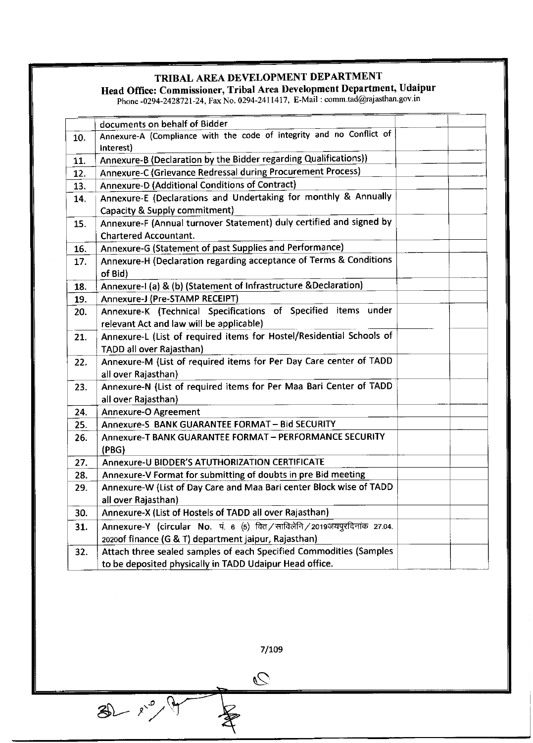Head Office: Commissioner, Tribal Area Development Department, Udaipur

Phone -0294-2428721-24, Fax No. 0294-2411417, E-Mail : comm.tad@rajasthan.gov.in

|     | documents on behalf of Bidder                                                     |  |
|-----|-----------------------------------------------------------------------------------|--|
| 10. | Annexure-A (Compliance with the code of integrity and no Conflict of<br>Interest) |  |
| 11. | Annexure-B (Declaration by the Bidder regarding Qualifications))                  |  |
| 12. | Annexure-C (Grievance Redressal during Procurement Process)                       |  |
| 13. | Annexure-D (Additional Conditions of Contract)                                    |  |
| 14. | Annexure-E (Declarations and Undertaking for monthly & Annually                   |  |
|     | Capacity & Supply commitment)                                                     |  |
| 15. | Annexure-F (Annual turnover Statement) duly certified and signed by               |  |
|     | <b>Chartered Accountant.</b>                                                      |  |
| 16. | Annexure-G (Statement of past Supplies and Performance)                           |  |
| 17. | Annexure-H (Declaration regarding acceptance of Terms & Conditions                |  |
|     | of Bid)                                                                           |  |
| 18. | Annexure-I (a) & (b) (Statement of Infrastructure & Declaration)                  |  |
| 19. | Annexure-J (Pre-STAMP RECEIPT)                                                    |  |
| 20. | Annexure-K (Technical Specifications of Specified items under                     |  |
|     | relevant Act and law will be applicable)                                          |  |
| 21. | Annexure-L (List of required items for Hostel/Residential Schools of              |  |
|     | TADD all over Rajasthan)                                                          |  |
| 22. | Annexure-M (List of required items for Per Day Care center of TADD                |  |
|     | all over Rajasthan)                                                               |  |
| 23. | Annexure-N (List of required items for Per Maa Bari Center of TADD                |  |
|     | all over Rajasthan)                                                               |  |
| 24. | <b>Annexure-O Agreement</b>                                                       |  |
| 25. | Annexure-S BANK GUARANTEE FORMAT - Bid SECURITY                                   |  |
| 26. | Annexure-T BANK GUARANTEE FORMAT - PERFORMANCE SECURITY                           |  |
|     | (PBG)                                                                             |  |
| 27. | Annexure-U BIDDER'S ATUTHORIZATION CERTIFICATE                                    |  |
| 28. | Annexure-V Format for submitting of doubts in pre Bid meeting                     |  |
| 29. | Annexure-W (List of Day Care and Maa Bari center Block wise of TADD               |  |
|     | all over Rajasthan)                                                               |  |
| 30. | Annexure-X (List of Hostels of TADD all over Rajasthan)                           |  |
| 31. | Annexure-Y (circular No. पं. 6 (5) वित/साविलेनि/2019जयपुरदिनांक 27.04.            |  |
|     | 2020of finance (G & T) department jaipur, Rajasthan)                              |  |
| 32. | Attach three sealed samples of each Specified Commodities (Samples                |  |
|     | to be deposited physically in TADD Udaipur Head office.                           |  |

7/109

 $\overline{\mathcal{O}}$ 

 $30 - x^2 + 9$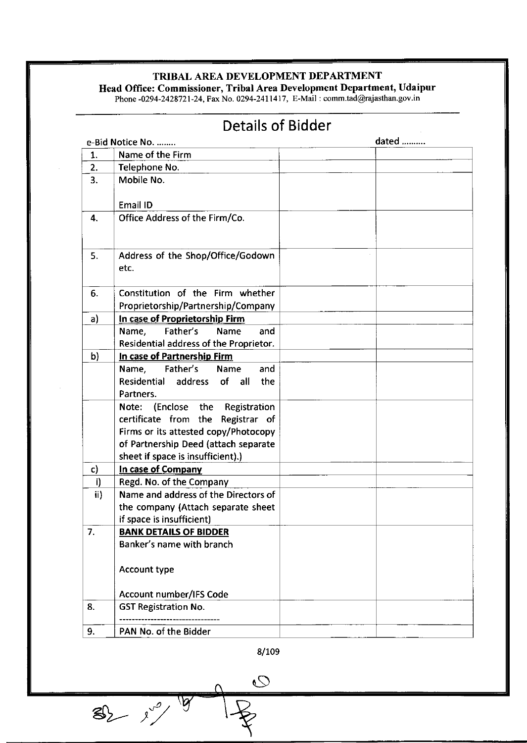Head Office: Commissioner, Tribal Area Development Department, Udaipur

Phone -0294-2428721-24, Fax No. 0294-2411417, E-Mail : comm.tad@rajasthan.gov.ir

|              | <b>DETAIIS OF DIUMEI</b>                   |       |
|--------------|--------------------------------------------|-------|
|              | e-Bid Notice No.                           | dated |
| 1.           | Name of the Firm                           |       |
| 2.           | Telephone No.                              |       |
| 3.           | Mobile No.                                 |       |
|              | Email ID                                   |       |
| 4.           | Office Address of the Firm/Co.             |       |
| 5.           | Address of the Shop/Office/Godown<br>etc.  |       |
| 6.           | Constitution of the Firm whether           |       |
|              | Proprietorship/Partnership/Company         |       |
| a)           | In case of Proprietorship Firm             |       |
|              | Father's<br>Name<br>Name,<br>and           |       |
|              | Residential address of the Proprietor.     |       |
| b)           | In case of Partnership Firm                |       |
|              | Father's<br>Name,<br>Name<br>and           |       |
|              | Residential<br>address<br>of<br>all<br>the |       |
|              | Partners.                                  |       |
|              | (Enclose the<br>Registration<br>Note:      |       |
|              | certificate from the Registrar of          |       |
|              | Firms or its attested copy/Photocopy       |       |
|              | of Partnership Deed (attach separate       |       |
|              | sheet if space is insufficient).)          |       |
| $\mathbf{c}$ | In case of Company                         |       |
| i)           | Regd. No. of the Company                   |       |
| ii)          | Name and address of the Directors of       |       |
|              | the company (Attach separate sheet         |       |
|              | if space is insufficient)                  |       |
| 7.           | <b>BANK DETAILS OF BIDDER</b>              |       |
|              | Banker's name with branch                  |       |
|              | Account type                               |       |
|              | <b>Account number/IFS Code</b>             |       |
| 8.           | <b>GST Registration No.</b>                |       |
| 9.           | PAN No. of the Bidder                      |       |

# Details of Bidder

8/109

 $\overline{O}$ 

 $82 - 10$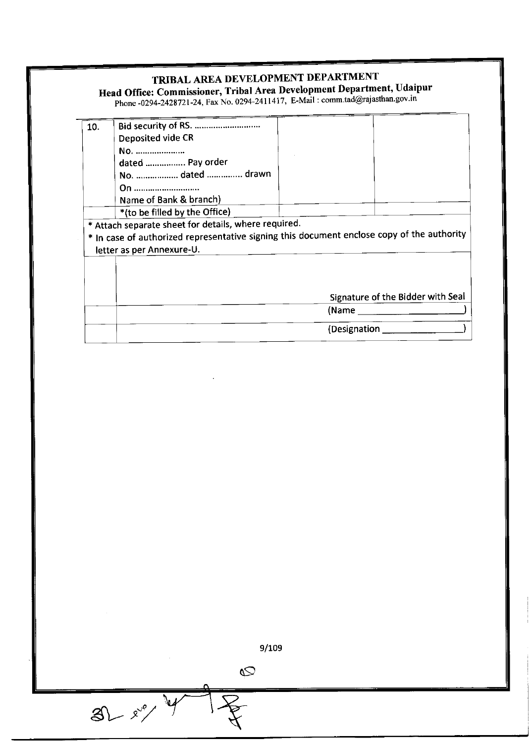# Head office: Commissioner, TribaI Area Development Department, Udaipur

Phone.0294-2428721-24, Fax No. 0294-2411417, E.Mail:comm.tad@rajasthan.gov.in

| 10. | Bid security of RS.                                  |                                                                                            |
|-----|------------------------------------------------------|--------------------------------------------------------------------------------------------|
|     | Deposited vide CR                                    |                                                                                            |
|     | No.                                                  |                                                                                            |
|     | dated  Pay order                                     |                                                                                            |
|     | No.  dated  drawn                                    |                                                                                            |
|     | On                                                   |                                                                                            |
|     | Name of Bank & branch)                               |                                                                                            |
|     | *(to be filled by the Office)                        |                                                                                            |
|     | * Attach separate sheet for details, where required. |                                                                                            |
|     |                                                      | * In case of authorized representative signing this document enclose copy of the authority |
|     | letter as per Annexure-U.                            |                                                                                            |
|     |                                                      |                                                                                            |
|     |                                                      |                                                                                            |
|     |                                                      |                                                                                            |
|     |                                                      | Signature of the Bidder with Seal                                                          |
|     |                                                      |                                                                                            |
|     |                                                      |                                                                                            |
|     |                                                      | (Designation _                                                                             |

9/109

 $\overline{Q}$ 

 $81 - x^2$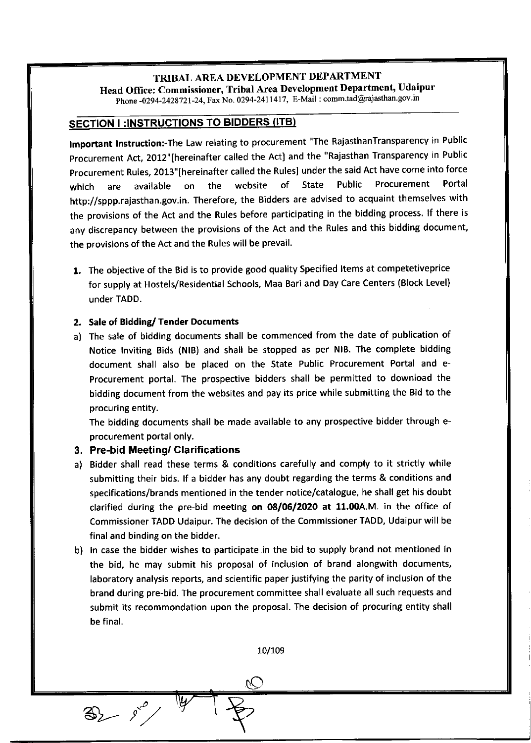# TRIBAL AREA DEVELOPMENT DEPARTMENT Head Office: Commissioner, Tribal Area Development Department, Udaipur

Phone -0294-2428721-24, Fax No. 0294-2411417, E-Mail : comm.tad@rajasthan.gov.in

# **SECTION I:INSTRUCTIONS TO BIDDERS (ITB)**

Important Instruction:-The Law relating to procurement "The RajasthanTransparency in Public Procurement Act, 2012" [hereinafter called the Act] and the "Rajasthan Transparency in Public procurement Rules, 2013" [hereinafter called the Rules] under the said Act have come into force which are available on the website of State Public Procurement Porta http://sppp.rajasthan.gov.in. Therefore, the Bidders are advised to acquaint themselves with the provisions of the Act and the Rules before participating in the bidding process. If there is any discrepancy between the provisions of the Act and the Rules and this bidding document, the provisions of the Act and the Rules will be prevail.

1. The objective of the Bid is to provide good quality specified ltems at competetiveprice for supply at Hostels/Residential Schools, Maa Bari and Day Care Centers (Block Level) under TADD.

## 2. Sale of Bidding/ Tender Documents

a) The sale of bidding documents shall be commenced from the date of publication of Notice Inviting Bids (NlB) and shall be stopped as per NlB. The complete bidding document shall also be placed on the State Public Procurement Portal and e-Procurement portal. The prospective bidders shall be permitted to download the bidding document from the websites and pay its price while submitting the Bid to the procuring entity.

The bidding documents shall be made available to any prospective bidder through eprocurement portal only.

## 3. Pre-bid Meeting/ Clarifications

 $\frac{1}{\sqrt{2}}$ 

- a) Bidder shall read these terms & conditions carefully and comply to it strictly while submitting their bids. lf a bidder has any doubt regarding the terms & conditions and specifications/brands mentioned in the tender notice/catalogue, he shall get his doubt clarified during the pre-bid meeting on  $08/06/2020$  at 11.00A.M. in the office of Commissioner TADD Udaipur. The decision of the Commissioner TADD, Udaipur will be final and binding on the bidder.
- b) In case the bidder wishes to participate in the bid to supply brand not mentioned in the bid, he may submit his proposal of inclusion of brand alongwith documents, laboratory analysis reports, and scientific paper justifying the parity of inclusion of the brand during pre-bid. The procurement committee shall evaluate all such requests and submit its recommondation upon the proposal. The decision of procuring entity shall be final.

10/109

 $\overline{\widehat{\mathcal{C}}}$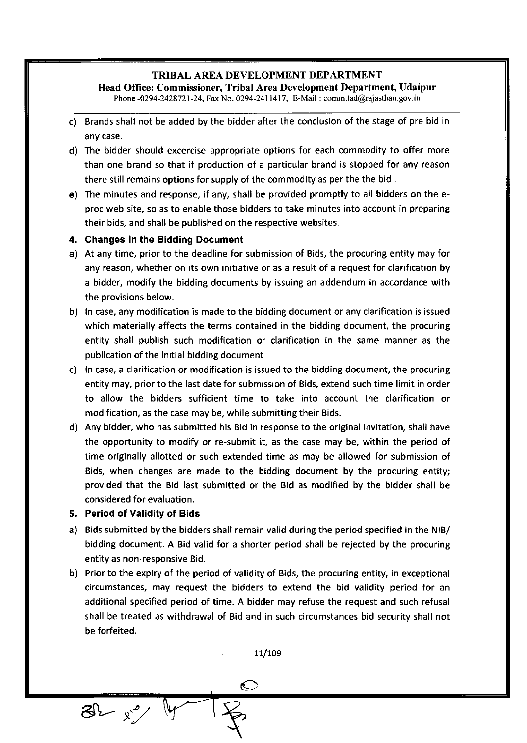# TRIBAL AREA DEVELOPMENT DEPARTMENT Head Office: Commissioner, Tribal Area Development Department, Udaipur

Phone -0294-2428721-24, Fax No. 0294-2411417, E-Mail : comm.tad@rajasthan.gov.in

- c) Brands shall not be added by the bidder after the conclusion of the stage of pre bid in any case.
- d) The bidder should excercise appropriate options for each commodity to offer more than one brand so that if production of a particular brand is stopped for any reason there still remains options for supply of the commodity as per the the bid .
- e) The minutes and response, if any, shall be provided promptly to all bidders on the eproc web site, so as to enable those bidders to take minutes into account in preparing their bids, and shall be published on the respective websites.

#### 4. Changes in the Bidding Document

- a) At any time, prior to the deadline for submission of Bids, the procuring entity may for any reason, whether on its own initiative or as a result of a request for clarification by a bidder, modify the bidding documents by issuing an addendum in accordance with the provisions below.
- b) In case, any modification is made to the bidding document or any clarification is issued which materially affects the terms contained in the bidding document, the procuring entity shall publish such modification or clarification in the same manner as the publication of the initial bidding document
- c) In case, a clarification or modification is issued to the bidding document, the procuring entity may, prior to the last date for submission of Bids, extend such time limit in order to allow the bidders sufficient time to take into account the clarification or modification, as the case may be, while submitting their Bids.
- d) Any bidder, who has submitted his Bid in response to the original invitation, shall have the opportunity to modify or re-submit it, as the case may be, within the period of time originally allotted or such extended time as may be allowed for submission of Bids, when changes are made to the bidding document by the procuring entity; provided that the Bid last submitted or the Bid as modified by the bidder shall be considered for evaluation.

#### 5. Period of Validity of Bids

 $3^{\circ}$  x

- a) Bids submitted by the bidders shall remain valid during the period specified in the NIB/ bidding document. A Bid valid for a shorter period shall be rejected by the procuring entity as non-responsive Bid.
- b) Prior to the expiry of the period of validity of Bids, the procuring entity, in exceptional circumstances, may request the bidders to extend the bid validity period for an additional specified period of time. A bidder may refuse the request and such refusal shall be treated as withdrawal of Bid and in such circumstances bid securitv shall not be forfeited.

11/109

**PA**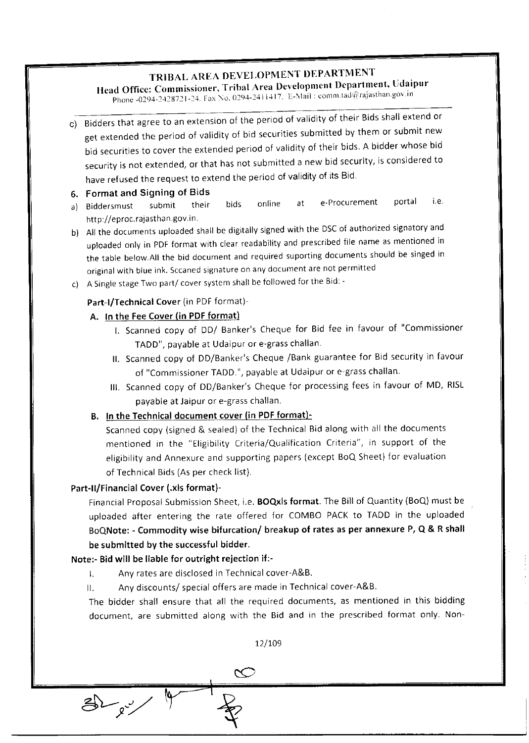# Head Office: Commissioner, Tribal Area Development Department, Udaipur

Phone -0294-2428721-24. Fax No. 0294-2411417. E-Mail : comm.tad@rajasthan.gov.in

c) Bidders that agree to an extension of the period of validity of their Bids shall extend or get extended the period of validity of bid securities submitted by them or submit new bid securities to cover the extended period of validity of their bids. A bidder whose bid security is not extended, or that has not submitted a new bid security, is considered to have refused the request to extend the period of validity of its Bid

- **6. Format and Signing of Bids**<br>a) Biddersmust submit their **b. Formatianu Sigming of Brus**<br>a) Biddersmust isubmit their bids online at e-Procurement portal i.e http://eproc.rajasthan.gov.in.
- b) All the documents uploaded shall be digitally signed with the DSC of authorized signatory and uploaded only in PDF format with clear readability and prescribed file name as mentioned in the table below.All the bid document and required suporting documents should be singed in original with blue ink. Sccaned signature on any document are not permitted
- c) A Single stage Two part/ cover system shall be followed for the Bid: -

## Part-I/Technical Cover (in PDF format)-

## A. ln the Fee Cover (in PDF format)

- l. scanned copy of DD/ Banker's Cheque for Bid fee in favour of "commissioner TADD", payable at Udaipur or e-grass challan.
- ll. scanned copy of DD/Banker's Cheque /Bank guarantee for Bid security in favour of "Commissioner TADD.", payable at Udaipur or e-grass challan.
- lll. Scanned copy of DD/Banker's Cheque for processing fees in favour of MD, RISL payable at Jaipur or e-grass challan.

# B, ln the Technical document cover (in PDF format)-

Scanned copy (signed & sealed) of the Technical Bid along with all the documents mentioned in the "Eligibility Criteria/Qualification Criteria", in support of the eligibility and Annexure and supporting papers (except BoQ Sheet) for evaluation of Technical Bids (As per check list).

# Part-II/Financial Cover (.xls format)-

Financial Proposal Submission Sheet, i.e. **BOQxls format**. The Bill of Quantity (BoQ) must be uploaded after entering the rate offered for coMBo PACK to TADD in the uploaded BoQNote: - Commodity wise bifurcation/ breakup of rates as per annexure P, Q & R shall be submitted by the successful bidder.

# Note:- Bid will be liable for outright rejection if:-

- l. Any rates are disclosed in Technical cover-A&B.
- ll. Any discounts/ special offers are made in Technical cover-A&B.

The bidder shall ensure that all the required documents, as mentioned in this bidding document, are submitted along with the Bid and in the prescribed format oniy. Non-

12/109  $\rm \sim$  $\bigoplus_{\alpha<\omega}$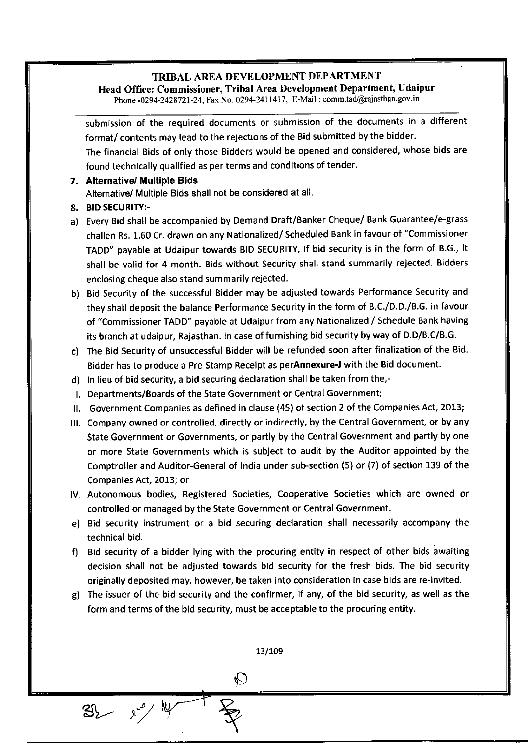Head Office: Commissioner, Tribal Area Development Department, Udaipur

Phone -0294-2428721-24, Fax No. 0294-2411417, E-Mail : comm.tad@rajasthan.gov.in

submission of the required documents or submission of the documents in a different format/ contents may lead to the rejections of the Bid submitted by the bidder. The financial Bids of only those Bidders would be opened and considered, whose bids are

found technically qualified as per terms and conditions of tender. 7. Alternative/ Multiple Bids

Alternative/ Multiple Bids shall not be considered at all.

- 8. BID SECURITY:-
- a) Every Bid shall be accompanied by Demand Draft/Banker cheque/ Bank Guarantee/e-grass challen Rs. 1.60 Cr. drawn on any Nationalized/ Scheduled Bank in favour of "Commissioner TADD" payable at Udaipur towards BID SECURITY, lf bid security is in the form of B.G., it shall be valid for 4 month. Bids without Security shall stand summarily rejected. Bidders enclosing cheque also stand summarily rejected.
- b) Bid Security of the successful Bidder may be adjusted towards Performance Security and they shall deposit the balance Performance Security in the form of B.C./D.D./B.G. in favour of "Commissioner TADD" payable at Udaipur from any Nationalized / Schedule Bank having its branch at udaipur, Rajasthan. In case of furnishing bid security by way of D.D/B.C/B.G.
- c) The Bid Security of unsuccessful Bidder will be refunded soon after finalization of the Bid. Bidder has to produce a Pre-Stamp Receipt as perAnnexure-J with the Bid document.
- d) In lieu of bid security, a bid securing declaration shall be taken from the,-
- l. Departments/Boards of the State Government or Central Government;
- ll. Government Companies as defined in clause (45) of section 2 ofthe Companies Act, 2013;
- lll. Company owned or controlled, directly or indirectly, by the Central Government, or by any State Government or Governments, or partly by the Central Government and partly by one or more State Governments which is subject to audit by the Auditor appointed by the Comptroller and Auditor-General of India under sub-section (5) or (7) of section 139 of the Companies Act, 2OI3; or
- lV. Autonomous bodies, Registered Societies, Cooperative Societies which are owned or controlled or managed by the State Government or Central Government.
- e) Bid security instrument or a bid securing declaration shall necessarily accompany the technical bid.
- f) Bid security of a bidder lying with the procuring entity in respect of other bids awaiting decision shall not be adjusted towards bid security for the fresh bids. The bid security originally deposited may, however, be taken into consideration in case bids are re-invited.
- g) The issuer of the bid security and the confirmer, if any, of the bid security, as well as the form and terms of the bid security, must be acceptable to the procuring entity.

13/109  $\mathbb{O}$  $3\,$   $\frac{3\sqrt{2}}{2}$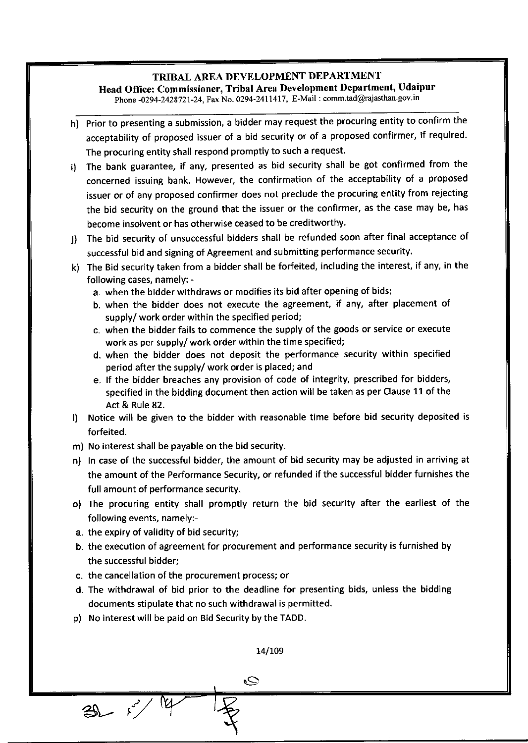Head Office: Commissioner, Tribal Area Development Department, Udaipur

Phone -0294-2428721-24, Fax No. 0294-2411417, E-Mail : comm.tad@rajasthan.gov.in

- h) prior to presenting a submission, a bidder may request the procuring entity to confirm the acceptability of proposed issuer of a bid security or of a proposed confirmer, if required. The procuring entity shall respond promptly to such a request.
- i) The bank guarantee, if any, presented as bid security shall be got confirmed from the concerned issuing bank. However, the confirmation of the acceptability of a proposed issuer or of any proposed confirmer does not preclude the procuring entity from rejecting the bid security on the ground that the issuer or the confirmer, as the case may be, has become insolvent or has otherwise ceased to be creditworthy.
- j) The bid security of unsuccessful bidders shall be refunded soon after final acceptance of successful bid and signing of Agreement and submitting performance security.
- k) The Bid security taken from a bidder shall be forfeited, including the interest, if any, in the following cases, namely:
	- a. when the bidder withdraws or modifies its bid after opening of bids;
	- b. when the bidder does not execute the agreement, if any, after placement ot supply/ work order within the specified period;
	- c. when the bidder fails to commence the supply of the goods or service or execute work as per supply/ work order within the time specified;
	- d. when the bidder does not deposit the performance security within specified period after the supply/ work order is placed; and
	- e. lf the bidder breaches any provision of code of integrity, prescribed for bidders, specified in the bidding document then action will be taken as per Clause 11 of the Act & Rule 82.
- l) Notice will be given to the bidder with reasonable time before bid security deposited is forfeited.
- m) No interest shall be payable on the bid security.
- n) In case of the successful bidder, the amount of bid security may be adjusted in arriving at the amount of the Performance Security, or refunded if the successful bidder furnishes the full amount of performance security.
- o) The procuring entity shall promptly return the bid security after the earliest of the following events, namely:-
- a. the expiry of validity of bid security;

 $30 - i$ 

- b. the execution of agreement for procurement and performance security is furnished by the successful bidder:
- c. the cancellation of the procurement process; or
- d. The withdrawal of bid prior to the deadline for presenting bids, unless the bidding documents stipulate that no such withdrawal is permitted.
- p) No interest will be paid on Bid Security by the TADD.

L4/LOg

s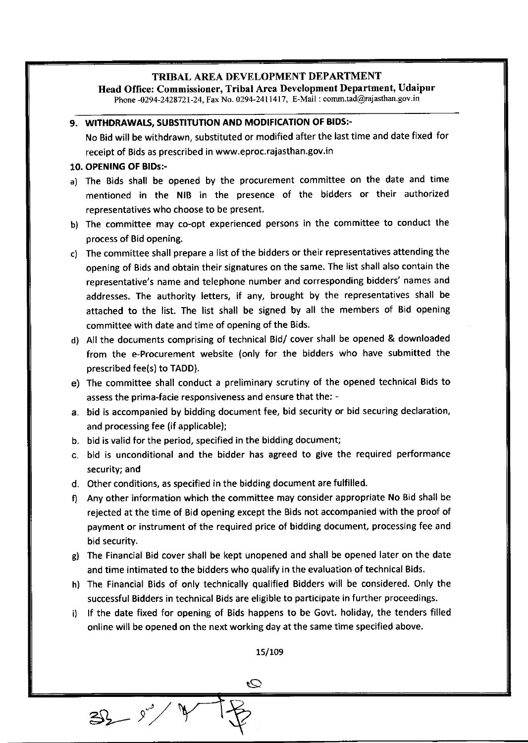Head Office: Commissioner, Tribal Area Development Department, Udaipur

Phone -0294-2428721-24, Fax No. 0294-2411417, E-Mail : comm.tad@rajasthan.gov.in

#### 9. WITHDRAWALS, SUBSTITUTION AND MODIFICATION OF BIDS:-

No Bid will be withdrawn, substituted or modified after the last time and date fixed for receipt of Bids as prescribed in www.eproc.rajasthan.gov.in

#### 10. OPENING OF BIDs:-

 $35 - y^3$ 

- a) The Bids shall be opened by the procurement committee on the date and time mentioned in the NIB in the presence of the bidders or their authorized representatives who choose to be present.
- b) The committee may co-opt experienced persons in the committee to conduct the process of Bid opening.
- c) The committee shall prepare a list of the bidders or their representatives attending the opening of Bids and obtain their signatures on the same. The list shall also contain the representative's name and telephone number and corresponding bidders' names and addresses. The authority letters, if any, brought by the representatives shall be attached to the list. The list shall be signed by all the members of Bid opening committee with date and time of opening of the Bids.
- d) All the documents comprising of technical Bid/ cover shall be opened & downloaded from the e-Procurement website (only for the bidders who have submitted the prescribed fee(s) to TADD).
- e) The committee shall conduct a preliminary scrutiny of the opened technical Bids to assess the prima-facie responsiveness and ensure that the: -
- a. bid is accompanied by biddine document fee, bid security or bid securing declaration, and processing fee (if applicable);
- b. bid is valid for the period, specified in the bidding document;
- c. bid is unconditional and the bidder has agreed to give the required performance security; and
- d. Other conditions, as specified in the bidding document are fulfilled.
- f) Any other information which the committee may consider appropriate No Bid shall be rejected at the time of Bid opening except the Bids not accompanied with the proof of payment or instrument of the required price of bidding document, processing fee and bid security.
- gl The Financial Bid cover shall be kept unopened and shall be opened later on the date and time intimated to the bidders who qualify in the evaluation of technical Bids.
- h) The Financial Bids of only technically qualified Bidders will be considered. Only the successful Bidders in technical Bids are eligible to participate in further proceedings.
- i) lf the date fixed for opening of Bids happens to be Govt. holiday, the tenders filled online will be opened on the next working day at the same time specified above.

15/109

 $\mathcal{O}$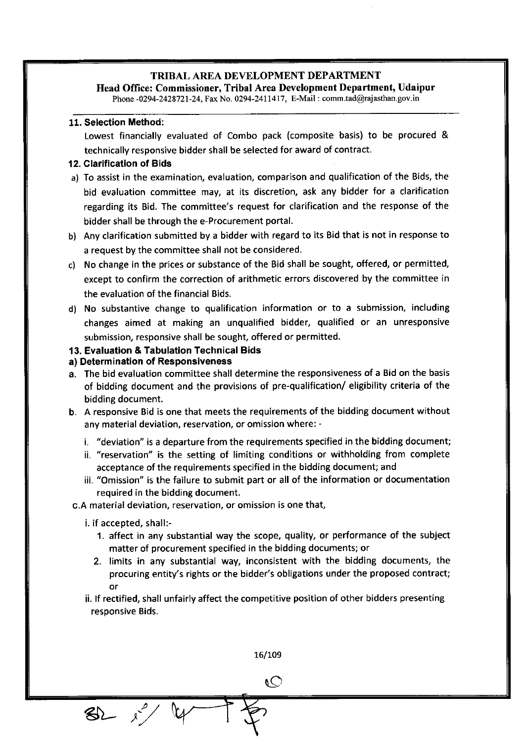Ilead Office: Commissioner, Tribal Area Development Department, Udaipur

Phone -0294-2428721-24, Fax No. 0294-2411417, E-Mail : comm.tad@rajasthan.gov.in

#### 11. Selection Method:

Lowest financially evaluated of Combo pack (composite basis) to be procured & technically responsive bidder shall be selected for award of contract.

#### 12. Clarification of Bids

- a) To assist in the examination, evaluation, comparison and qualification of the Bids, the bid evaluation committee may, at its discretion, ask any bidder for a clarification regarding its Bid. The committee's request for clarification and the response of the bidder shall be through the e-Procurement portal.
- b) Any clarification submitted by a bidder with regard to its Bid that is not in response to a request by the committee shall not be considered.
- c) No change in the prices or substance of the Bid shall be sought, offered, or permitted, except to confirm the correction of arithmetic errors discovered by the committee in the evaluation of the financial Bids.
- d) No substantive change to qualification information or to a submission, including changes aimed at making an unqualified bidder, qualified or an unresponsive submission, responsive shall be sought, offered or permitted.

#### 13. Evaluation & Tabulation Technical Bids

#### a) Determination of Responsiveness

- a. The bid evaluation committee shall determine the responsiveness of a Bid on the basis of bidding document and the provisions of pre-qualification/ eligibility criteria of the bidding document.
- b. <sup>A</sup>responsive Bid is one that meets the requirements of the bidding document without any material deviation, reservation, or omission where:
	- i. "deviation" is a departure from the requirements specified in the bidding document;
	- ii. "reservation" is the setting of limiting conditions or withholding from complete acceptance of the requirements specified in the bidding document; and
	- iii. "Omisslon" is the failure to submit part or all of the information or documentation required in the bidding document.

c.A material deviation, reservation, or omission is one that,

i. if acce pted, shall:-

 $82.0$ 

- 1. affect in any substantial way the scope, quality, or performance of the subject matter of procurement specified in the bidding documents; or
- 2. limits in any substantial way, inconsistent with the bidding documents, the procuring entity's rights or the bidder's obligations under the proposed contract; or
- ii. lf rectified, shall unfairly affect the competitive position of other bidders presenting resoonsive Bids.

16/109

 $\overline{\mathcal{O}}$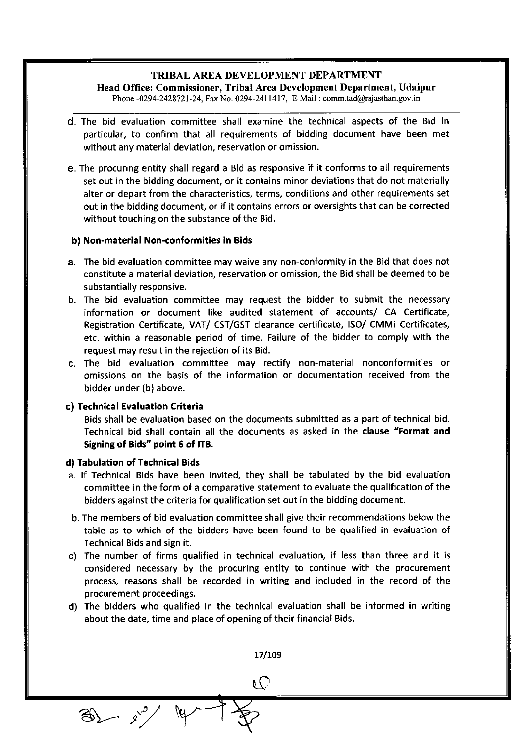## TRIBAL AREA DEVELOPMENT DEPARTMENT IIead Office: Commissioner, Tribal Area Development Department, Udaipur

Phone -0294-2428721-24, Fax No. 0294-2411417, E-Mail : comm.tad@rajasthan.gov.in

- d. The bid evaluation committee shall examine the technical aspects of the Bid in particular, to confirm that all requirements of bidding document have been met without any material deviation, reservation or omission.
- e. The procuring entity shall regard a Bid as responsive if it conforms to all requirements set out in the bidding document, or it contains minor deviations that do not materially alter or depart from the characteristics, terms, conditions and other requirements set out in the bidding document, or if it contains errors or oversights that can be corrected without touching on the substance of the Bid.

#### b) Non-material Non-conformities in Bids

- a. The bid evaluation committee may waive any non-conformity in the Bid that does not constitute a material deviation, reservation or omission, the Bid shall be deemed to be substantially responsive.
- b. The bid evaluation committee may request the bidder to submit the necessary information or document like audited statement of accounts/ CA Certificate, Registration Certificate, VAT/ CST/GST clearance certificate, ISO/ CMMi Certificates, etc. within a reasonable period of time. Failure of the bidder to comply with the request may result in the rejection of its Bid.
- c. The bid evaluation committee may rectify non-material nonconformities or omissions on the basis of the information or documentation received from the bidder under (b) above.

#### c) Technical Evaluation Criteria

Bids shall be evaluation based on the documents submitted as a part of technical bid. Technical bid shall contain all the documents as asked in the clause "Format and Signing of Bids" point 6 of lTB.

#### d) Tabulation of Technical Bids

 $8-\frac{6}{9}$ 

- a. lf Technical Bids have been invited, they shall be tabulated by the bid evaluation committee in the form of a comparative statement to evaluate the qualification of the bidders against the criteria for qualification set out in the bidding document.
- b. The members of bid evaluation committee shall give their recommendations below the table as to which of the bidders have been found to be qualified in evaluation of Technical Bids and sign it.
- c) The number of firms qualified in technical evaluation, if less than three and it is considered necessary by the procuring entity to continue with the procurement process, reasons shall be recorded in writing and included in the record of the procurement proceedings.
- d) The bidders who qualified in the technical evaluation shall be informed in writing about the date, time and place of opening of their financial Bids.

17/109 ( C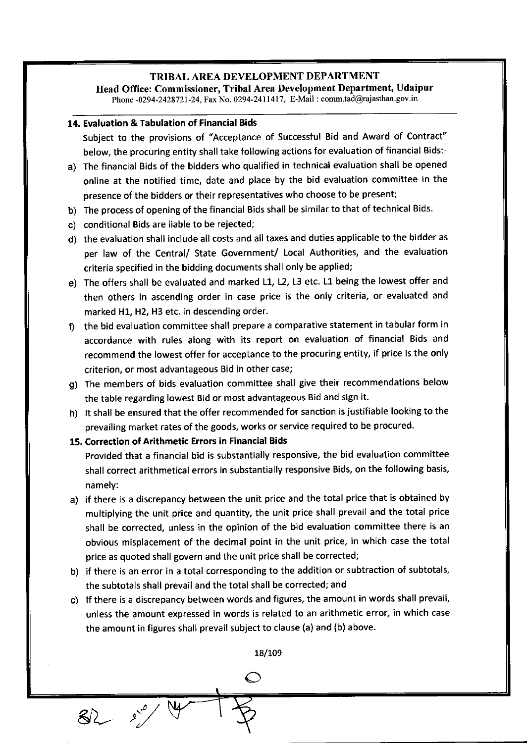Head Office: Commissioner, Tribal Area Development Department, Udaipur Phone -0294-2428721-24, Fax No. 0294-2411417, E-Mail : comm.tad@rajasthan.gov.in

#### 14. Evaluation & Tabulation of Financial Bids

Subject to the provisions of "Acceptance of Successful Bid and Award of Contract" below, the procuring entity shall take following actions for evaluation of financial Bids:-

- a) The financial Bids of the bidders who qualified in technical evaluation shall be opened online at the notified time, date and place by the bid evaluation committee in the presence of the bidders or their representatives who choose to be present;
- b) The process of opening of the financial Bids shall be similar to that of technical Bids.
- c) conditional Bids are liable to be rejected;
- d) the evaluation shall include all costs and all taxes and duties applicable to the bidder as per law of the Central/ State Government/ Local Authorities, and the evaluation criteria specified in the bidding documents shall only be applied;
- e) The offers shall be evaluated and marked L1, L2, L3 etc. L1 being the lowest offer and then others in ascending order in case price is the only criteria, or evaluated and marked H1, H2, H3 etc. in descending order.
- f) the bid evaluation committee shall prepare a comparative statement in tabular form in accordance with rules along with its report on evaluation of financial Bids and recommend the lowest offer for acceptance to the procuring entity, if price is the only criterion, or most advantageous Bid in other case;
- g) The members of bids evaluation committee shall give their recommendations below the table regarding lowest Bid or most advantageous Bid and sign it.
- h) It shall be ensured that the offer recommended for sanction is justifiable looking to the prevailing market rates of the goods, works or service required to be procured.

15, Correction of Arithmetic Errors in Financial Bids

 $82 - 87$ 

Provided that a financial bid is substantially responsive, the bid evaluation committee shall correct arithmetical errors in substantially responsive Bids, on the following basis, namely:

- a) if there is a discrepancy between the unit price and the total price that is obtained by multiplying the unit price and quantity, the unit price shall prevail and the total price shall be corrected, unless in the opinion of the bid evaluation committee there is an obvious misplacement of the decimal point in the unit price, in which case the total price as quoted shall govern and the unit price shall be corrected;
- b) if there is an error in a total corresponding to the addition or subtraction of subtotals, the subtotals shall prevail and the total shall be corrected; and
- c) lf there is a discrepancy between words and figures, the amount in words shall prevail, unless the amount expressed in words is related to an arithmetic error, in which case the amount in figures shall prevail subject to clause (a) and (b) above.

18/109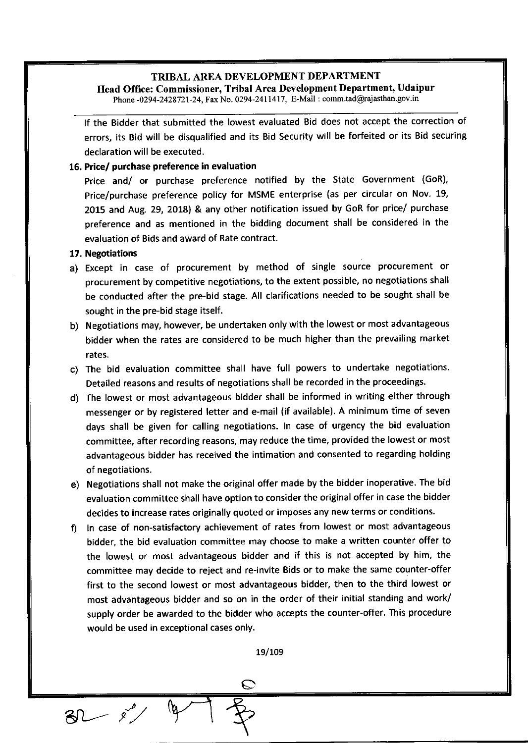Head Office: Commissioner, Tribal Area Development Department, Udaipur Phone -0294-2428721-24, Fax No. 0294-2411417, E-Mail : comm.tad@rajasthan.gov.in

lf the Bidder that submitted the lowest evaluated Bid does not accept the correction of errors, its Bid will be disqualified and its Bid Security will be forfeited or its Bid securing declaration will be executed.

#### 16, Price/ purchase preference in evaluation

Price and/ or purchase preference notified by the State Government (GoR), Price/purchase preference policy for MSME enterprise (as per circular on Nov. 19, 2015 and Aug. 29, 2O1S) & any other notification issued by GoR for price/ purchase preference and as mentioned in the bidding document shall be considered in the evaluation of Bids and award of Rate contract.

#### 17. Negotiations

 $81 - e^{0}$ 

- a) Except in case of procurement by method of single source procurement or procurement by competitive negotiations, to the extent possible, no negotiations shall be conducted after the pre-bid stage. All clarifications needed to be sought shall be sought in the pre-bid stage itself.
- b) Negotiations may, however, be undertaken only with the lowest or most advantageous bidder when the rates are considered to be much higher than the prevailing market rates.
- c) The bid evaluation committee shall have full powers to undertake negotiations. Detailed reasons and results of negotiations shall be recorded in the proceedings.
- d) The lowest or most advantageous bidder shall be informed in writing either through messenger or by registered letter and e-mail (if available). A minimum time of seven days shall be given for calling negotiations. In case of urgency the bid evaluation committee, after recording reasons, may reduce the time, provided the lowest or most advantageous bidder has received the intimation and consented to regarding holding of negotiations.
- e) Negotiations shall not make the original offer made by the bidder inoperative. The bid evaluation committee shall have option to consider the original offer in case the bidder decides to increase rates originally quoted or imposes any new terms or conditions.
- f) ln case of non-satisfactory achievement of rates from lowest or most advantageous bidder, the bid evaluation committee may choose to make a written counter offer to the lowest or most advantageous bidder and if this is not accepted by him, the committee may decide to reject and re-invite Bids or to make the same counter-offer first to the second lowest or most advantageous bidder, then to the third lowest or most advantageous bidder and so on in the order of their initial standing and work/ supply order be awarded to the bidder who accepts the counter-offer. This procedure would be used in exceptional cases only.

19/109

 $\overline{\mathcal{C}}$